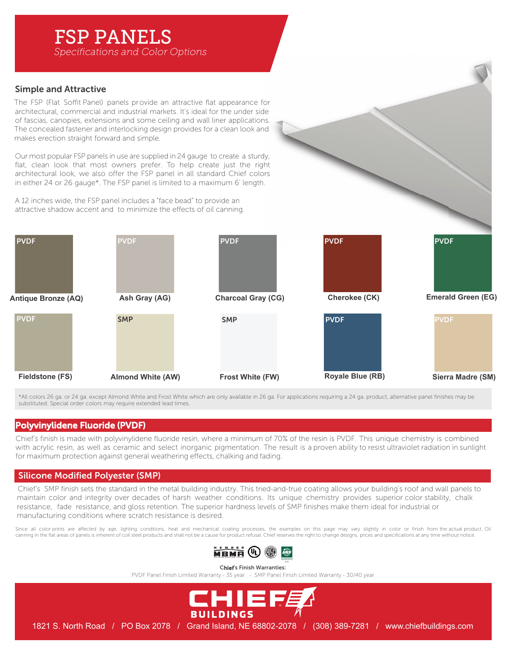# FSP PANELS

*Specifications and Color Options*

# Simple and Attractive

The FSP (Flat Soffit Panel) panels provide an attractive flat appearance for architectural, commercial and industrial markets. It's ideal for the under side of fascias, canopies, extensions and some ceiling and wall liner applications. The concealed fastener and interlocking design provides for a clean look and makes erection straight forward and simple.

Our most popular FSP panels in use are supplied in 24 gauge to create a sturdy, flat, clean look that most owners prefer. To help create just the right architectural look, we also offer the FSP panel in all standard Chief colors in either 24 or 26 gauge\*. The FSP panel is limited to a maximum 6' length.

A 12 inches wide, the FSP panel includes a "face bead" to provide an attractive shadow accent and to minimize the effects of oil canning.



\*All colors 26 ga. or 24 ga. except Almond White and Frost White which are only available in 26 ga. For applications requiring a 24 ga. product, alternative panel finishes may be substituted. Special order colors may require extended lead times.

### Polyvinylidene Fluoride (PVDF)

Chief's finish is made with polyvinylidene fluoride resin, where a minimum of 70% of the resin is PVDF. This unique chemistry is combined with acrylic resin, as well as ceramic and select inorganic pigmentation. The result is a proven ability to resist ultraviolet radiation in sunlight for maximum protection against general weathering effects, chalking and fading.

# Silicone Modified Polyester (SMP)

Chief's SMP finish sets the standard in the metal building industry. This tried-and-true coating allows your building's roof and wall panels to maintain color and integrity over decades of harsh weather conditions. Its unique chemistry provides superior color stability, chalk resistance. fade resistance, and gloss retention. The superior hardness levels of SMP finishes make them ideal for industrial or manufacturing conditions where scratch resistance is desired.

Since all color prints are affected by age, lighting conditions, heat and mechanical coating processes, the examples on this page may vary slightly in color or finish from the actual product. Oil canning in the flat areas of panels is inherent of coil steel products and shall not be a cause for product refusal. Chief reserves the right to change designs, prices and specifications at any time without notice.



Chief's Finish Warranties:

PVDF Panel Finish Limited Warranty - 35 year - SMP Panel Finish Limited Warranty - 30/40 year



1821 S. North Road / PO Box 2078 / Grand Island, NE 68802-2078 / (308) 389-7281 / www.chiefbuildings.com